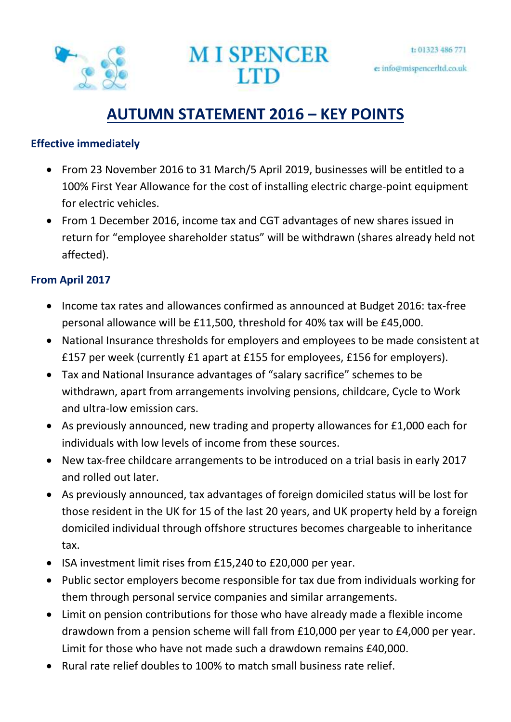



# **AUTUMN STATEMENT 2016 – KEY POINTS**

#### **Effective immediately**

- From 23 November 2016 to 31 March/5 April 2019, businesses will be entitled to a 100% First Year Allowance for the cost of installing electric charge-point equipment for electric vehicles.
- From 1 December 2016, income tax and CGT advantages of new shares issued in return for "employee shareholder status" will be withdrawn (shares already held not affected).

# **From April 2017**

- Income tax rates and allowances confirmed as announced at Budget 2016: tax-free personal allowance will be £11,500, threshold for 40% tax will be £45,000.
- National Insurance thresholds for employers and employees to be made consistent at £157 per week (currently £1 apart at £155 for employees, £156 for employers).
- Tax and National Insurance advantages of "salary sacrifice" schemes to be withdrawn, apart from arrangements involving pensions, childcare, Cycle to Work and ultra-low emission cars.
- As previously announced, new trading and property allowances for £1,000 each for individuals with low levels of income from these sources.
- New tax-free childcare arrangements to be introduced on a trial basis in early 2017 and rolled out later.
- As previously announced, tax advantages of foreign domiciled status will be lost for those resident in the UK for 15 of the last 20 years, and UK property held by a foreign domiciled individual through offshore structures becomes chargeable to inheritance tax.
- ISA investment limit rises from £15,240 to £20,000 per year.
- Public sector employers become responsible for tax due from individuals working for them through personal service companies and similar arrangements.
- Limit on pension contributions for those who have already made a flexible income drawdown from a pension scheme will fall from £10,000 per year to £4,000 per year. Limit for those who have not made such a drawdown remains £40,000.
- Rural rate relief doubles to 100% to match small business rate relief.